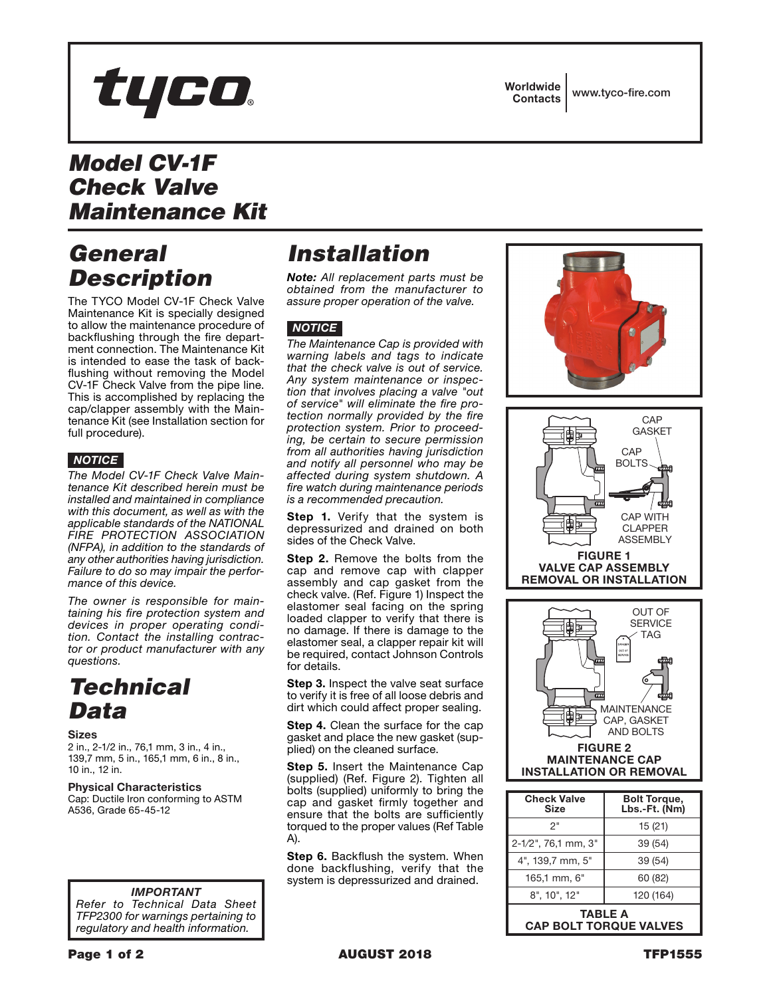

**Worldwide** Contacts www.tyco-fire.com

## *Model CV-1F Check Valve Maintenance Kit*

# *General Description*

The TYCO Model CV-1F Check Valve Maintenance Kit is specially designed to allow the maintenance procedure of backflushing through the fire department connection. The Maintenance Kit is intended to ease the task of backflushing without removing the Model CV-1F Check Valve from the pipe line. This is accomplished by replacing the cap/clapper assembly with the Maintenance Kit (see Installation section for full procedure).

### *NOTICE*

*The Model CV-1F Check Valve Maintenance Kit described herein must be installed and maintained in compliance with this document, as well as with the applicable standards of the NATIONAL FIRE PROTECTION ASSOCIATION (NFPA), in addition to the standards of any other authorities having jurisdiction. Failure to do so may impair the performance of this device.*

*The owner is responsible for maintaining his fire protection system and devices in proper operating condition. Contact the installing contractor or product manufacturer with any questions.*

## *Technical Data*

### Sizes

2 in., 2-1/2 in., 76,1 mm, 3 in., 4 in., 139,7 mm, 5 in., 165,1 mm, 6 in., 8 in., 10 in., 12 in.

### Physical Characteristics

Cap: Ductile Iron conforming to ASTM A536, Grade 65-45-12

### *IMPORTANT*

*Refer to Technical Data Sheet TFP2300 for warnings pertaining to regulatory and health information.*

#### *Note: All replacement parts must be obtained from the manufacturer to assure proper operation of the valve.*

*Installation*

### *NOTICE*

*The Maintenance Cap is provided with warning labels and tags to indicate that the check valve is out of service. Any system maintenance or inspection that involves placing a valve "out of service" will eliminate the fire protection normally provided by the fire protection system. Prior to proceeding, be certain to secure permission from all authorities having jurisdiction and notify all personnel who may be affected during system shutdown. A fire watch during maintenance periods is a recommended precaution.*

Step 1. Verify that the system is depressurized and drained on both sides of the Check Valve.

Step 2. Remove the bolts from the cap and remove cap with clapper assembly and cap gasket from the check valve. (Ref. Figure 1) Inspect the elastomer seal facing on the spring loaded clapper to verify that there is no damage. If there is damage to the elastomer seal, a clapper repair kit will be required, contact Johnson Controls for details.

Step 3. Inspect the valve seat surface to verify it is free of all loose debris and dirt which could affect proper sealing.

Step 4. Clean the surface for the cap gasket and place the new gasket (supplied) on the cleaned surface.

Step 5. Insert the Maintenance Cap (supplied) (Ref. Figure 2). Tighten all bolts (supplied) uniformly to bring the cap and gasket firmly together and ensure that the bolts are sufficiently torqued to the proper values (Ref Table A).

Step 6. Backflush the system. When done backflushing, verify that the system is depressurized and drained.







| <b>Check Valve</b><br>Size                      | <b>Bolt Torque,</b><br>Lbs.-Ft. (Nm) |  |
|-------------------------------------------------|--------------------------------------|--|
| っ"                                              | 15(21)                               |  |
| 2-1/2", 76,1 mm, 3"                             | 39(54)                               |  |
| 4", 139,7 mm, 5"                                | 39 (54)                              |  |
| 165,1 mm, 6"                                    | 60 (82)                              |  |
| 8", 10", 12"                                    | 120 (164)                            |  |
| <b>TABLE A</b><br><b>CAP BOLT TORQUE VALVES</b> |                                      |  |